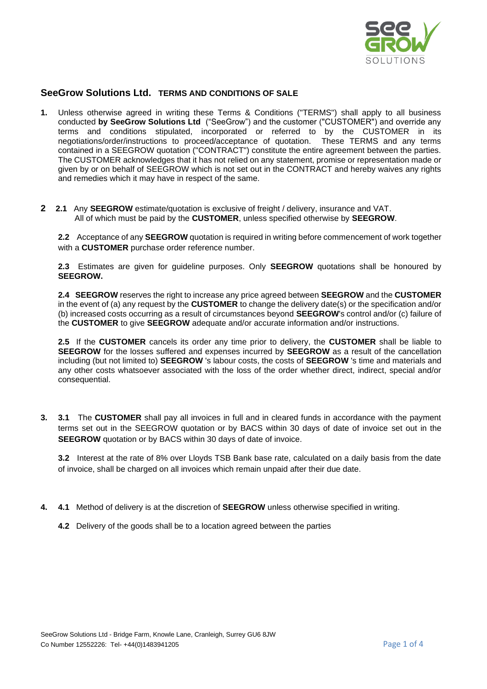

## **SeeGrow Solutions Ltd. TERMS AND CONDITIONS OF SALE**

- **1.** Unless otherwise agreed in writing these Terms & Conditions ("TERMS") shall apply to all business conducted **by SeeGrow Solutions Ltd** ("SeeGrow") and the customer ("CUSTOMER") and override any terms and conditions stipulated, incorporated or referred to by the CUSTOMER in its negotiations/order/instructions to proceed/acceptance of quotation. These TERMS and any terms contained in a SEEGROW quotation ("CONTRACT") constitute the entire agreement between the parties. The CUSTOMER acknowledges that it has not relied on any statement, promise or representation made or given by or on behalf of SEEGROW which is not set out in the CONTRACT and hereby waives any rights and remedies which it may have in respect of the same.
- **2 2.1** Any **SEEGROW** estimate/quotation is exclusive of freight / delivery, insurance and VAT. All of which must be paid by the **CUSTOMER**, unless specified otherwise by **SEEGROW**.

**2.2** Acceptance of any **SEEGROW** quotation is required in writing before commencement of work together with a **CUSTOMER** purchase order reference number.

**2.3** Estimates are given for guideline purposes. Only **SEEGROW** quotations shall be honoured by **SEEGROW.**

**2.4 SEEGROW** reserves the right to increase any price agreed between **SEEGROW** and the **CUSTOMER** in the event of (a) any request by the **CUSTOMER** to change the delivery date(s) or the specification and/or (b) increased costs occurring as a result of circumstances beyond **SEEGROW**'s control and/or (c) failure of the **CUSTOMER** to give **SEEGROW** adequate and/or accurate information and/or instructions.

**2.5** If the **CUSTOMER** cancels its order any time prior to delivery, the **CUSTOMER** shall be liable to **SEEGROW** for the losses suffered and expenses incurred by **SEEGROW** as a result of the cancellation including (but not limited to) **SEEGROW** 's labour costs, the costs of **SEEGROW** 's time and materials and any other costs whatsoever associated with the loss of the order whether direct, indirect, special and/or consequential.

**3. 3.1** The **CUSTOMER** shall pay all invoices in full and in cleared funds in accordance with the payment terms set out in the SEEGROW quotation or by BACS within 30 days of date of invoice set out in the **SEEGROW** quotation or by BACS within 30 days of date of invoice.

**3.2** Interest at the rate of 8% over Lloyds TSB Bank base rate, calculated on a daily basis from the date of invoice, shall be charged on all invoices which remain unpaid after their due date.

- **4. 4.1** Method of delivery is at the discretion of **SEEGROW** unless otherwise specified in writing.
	- **4.2** Delivery of the goods shall be to a location agreed between the parties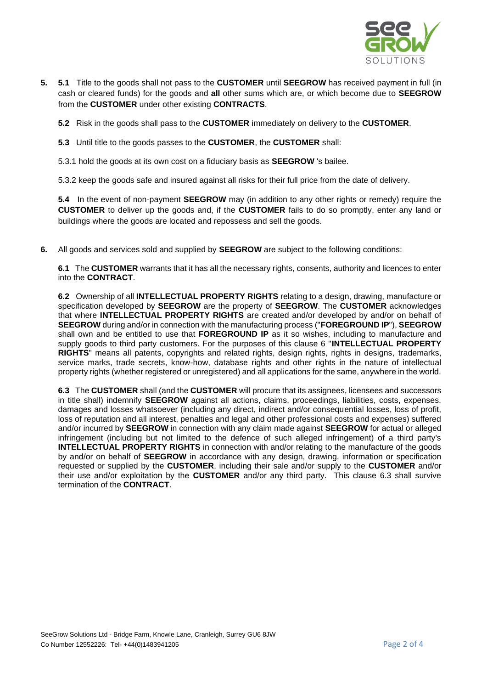

**5. 5.1** Title to the goods shall not pass to the **CUSTOMER** until **SEEGROW** has received payment in full (in cash or cleared funds) for the goods and **all** other sums which are, or which become due to **SEEGROW** from the **CUSTOMER** under other existing **CONTRACTS**.

**5.2** Risk in the goods shall pass to the **CUSTOMER** immediately on delivery to the **CUSTOMER**.

**5.3** Until title to the goods passes to the **CUSTOMER**, the **CUSTOMER** shall:

5.3.1 hold the goods at its own cost on a fiduciary basis as **SEEGROW** 's bailee.

5.3.2 keep the goods safe and insured against all risks for their full price from the date of delivery.

**5.4** In the event of non-payment **SEEGROW** may (in addition to any other rights or remedy) require the **CUSTOMER** to deliver up the goods and, if the **CUSTOMER** fails to do so promptly, enter any land or buildings where the goods are located and repossess and sell the goods.

**6.** All goods and services sold and supplied by **SEEGROW** are subject to the following conditions:

**6.1** The **CUSTOMER** warrants that it has all the necessary rights, consents, authority and licences to enter into the **CONTRACT**.

**6.2** Ownership of all **INTELLECTUAL PROPERTY RIGHTS** relating to a design, drawing, manufacture or specification developed by **SEEGROW** are the property of **SEEGROW**. The **CUSTOMER** acknowledges that where **INTELLECTUAL PROPERTY RIGHTS** are created and/or developed by and/or on behalf of **SEEGROW** during and/or in connection with the manufacturing process ("**FOREGROUND IP**"), **SEEGROW** shall own and be entitled to use that **FOREGROUND IP** as it so wishes, including to manufacture and supply goods to third party customers. For the purposes of this clause 6 "**INTELLECTUAL PROPERTY RIGHTS**" means all patents, copyrights and related rights, design rights, rights in designs, trademarks, service marks, trade secrets, know-how, database rights and other rights in the nature of intellectual property rights (whether registered or unregistered) and all applications for the same, anywhere in the world.

**6.3** The **CUSTOMER** shall (and the **CUSTOMER** will procure that its assignees, licensees and successors in title shall) indemnify **SEEGROW** against all actions, claims, proceedings, liabilities, costs, expenses, damages and losses whatsoever (including any direct, indirect and/or consequential losses, loss of profit, loss of reputation and all interest, penalties and legal and other professional costs and expenses) suffered and/or incurred by **SEEGROW** in connection with any claim made against **SEEGROW** for actual or alleged infringement (including but not limited to the defence of such alleged infringement) of a third party's **INTELLECTUAL PROPERTY RIGHTS** in connection with and/or relating to the manufacture of the goods by and/or on behalf of **SEEGROW** in accordance with any design, drawing, information or specification requested or supplied by the **CUSTOMER**, including their sale and/or supply to the **CUSTOMER** and/or their use and/or exploitation by the **CUSTOMER** and/or any third party. This clause 6.3 shall survive termination of the **CONTRACT**.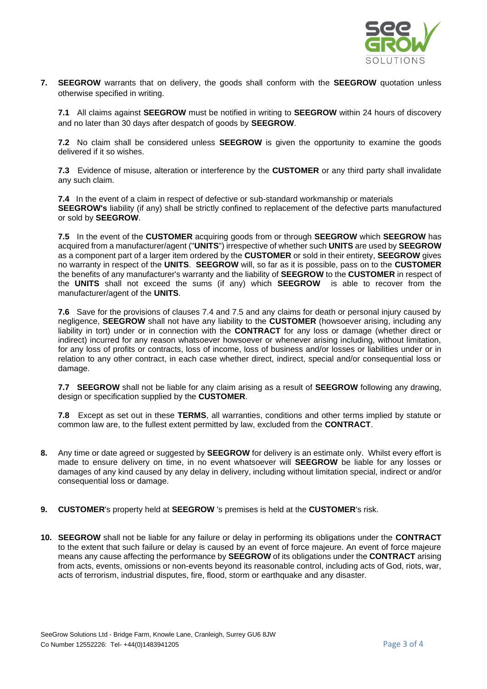

**7. SEEGROW** warrants that on delivery, the goods shall conform with the **SEEGROW** quotation unless otherwise specified in writing.

**7.1** All claims against **SEEGROW** must be notified in writing to **SEEGROW** within 24 hours of discovery and no later than 30 days after despatch of goods by **SEEGROW**.

**7.2** No claim shall be considered unless **SEEGROW** is given the opportunity to examine the goods delivered if it so wishes.

**7.3** Evidence of misuse, alteration or interference by the **CUSTOMER** or any third party shall invalidate any such claim.

**7.4** In the event of a claim in respect of defective or sub-standard workmanship or materials **SEEGROW's** liability (if any) shall be strictly confined to replacement of the defective parts manufactured or sold by **SEEGROW**.

**7.5** In the event of the **CUSTOMER** acquiring goods from or through **SEEGROW** which **SEEGROW** has acquired from a manufacturer/agent ("**UNITS**") irrespective of whether such **UNITS** are used by **SEEGROW** as a component part of a larger item ordered by the **CUSTOMER** or sold in their entirety, **SEEGROW** gives no warranty in respect of the **UNITS**. **SEEGROW** will, so far as it is possible, pass on to the **CUSTOMER** the benefits of any manufacturer's warranty and the liability of **SEEGROW** to the **CUSTOMER** in respect of the **UNITS** shall not exceed the sums (if any) which **SEEGROW** is able to recover from the manufacturer/agent of the **UNITS**.

**7.6** Save for the provisions of clauses 7.4 and 7.5 and any claims for death or personal injury caused by negligence, **SEEGROW** shall not have any liability to the **CUSTOMER** (howsoever arising, including any liability in tort) under or in connection with the **CONTRACT** for any loss or damage (whether direct or indirect) incurred for any reason whatsoever howsoever or whenever arising including, without limitation, for any loss of profits or contracts, loss of income, loss of business and/or losses or liabilities under or in relation to any other contract, in each case whether direct, indirect, special and/or consequential loss or damage.

**7.7 SEEGROW** shall not be liable for any claim arising as a result of **SEEGROW** following any drawing, design or specification supplied by the **CUSTOMER**.

**7.8** Except as set out in these **TERMS**, all warranties, conditions and other terms implied by statute or common law are, to the fullest extent permitted by law, excluded from the **CONTRACT**.

- **8.** Any time or date agreed or suggested by **SEEGROW** for delivery is an estimate only. Whilst every effort is made to ensure delivery on time, in no event whatsoever will **SEEGROW** be liable for any losses or damages of any kind caused by any delay in delivery, including without limitation special, indirect or and/or consequential loss or damage.
- **9. CUSTOMER**'s property held at **SEEGROW** 's premises is held at the **CUSTOMER**'s risk.
- **10. SEEGROW** shall not be liable for any failure or delay in performing its obligations under the **CONTRACT** to the extent that such failure or delay is caused by an event of force majeure. An event of force majeure means any cause affecting the performance by **SEEGROW** of its obligations under the **CONTRACT** arising from acts, events, omissions or non-events beyond its reasonable control, including acts of God, riots, war, acts of terrorism, industrial disputes, fire, flood, storm or earthquake and any disaster.